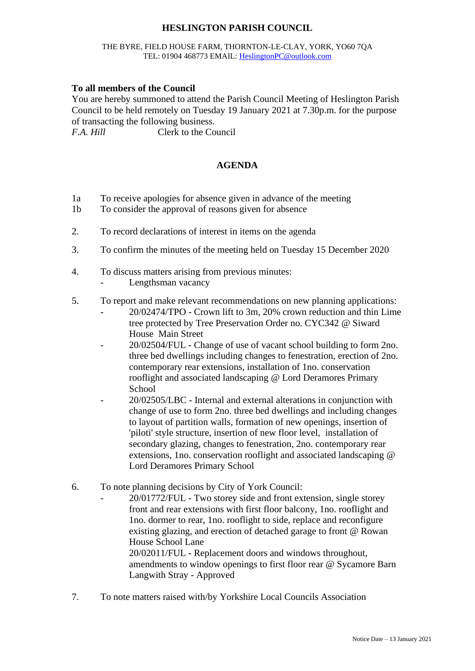# **HESLINGTON PARISH COUNCIL**

#### THE BYRE, FIELD HOUSE FARM, THORNTON-LE-CLAY, YORK, YO60 7QA TEL: 01904 468773 EMAIL: [HeslingtonPC@outlook.com](mailto:HeslingtonPC@outlook.com)

### **To all members of the Council**

You are hereby summoned to attend the Parish Council Meeting of Heslington Parish Council to be held remotely on Tuesday 19 January 2021 at 7.30p.m. for the purpose of transacting the following business.

*F.A. Hill* Clerk to the Council

# **AGENDA**

- 1a To receive apologies for absence given in advance of the meeting
- 1b To consider the approval of reasons given for absence
- 2. To record declarations of interest in items on the agenda
- 3. To confirm the minutes of the meeting held on Tuesday 15 December 2020
- 4. To discuss matters arising from previous minutes:
	- Lengthsman vacancy
- 5. To report and make relevant recommendations on new planning applications:
	- 20/02474/TPO Crown lift to 3m, 20% crown reduction and thin Lime tree protected by Tree Preservation Order no. CYC342 @ Siward House Main Street
	- 20/02504/FUL Change of use of vacant school building to form 2no. three bed dwellings including changes to fenestration, erection of 2no. contemporary rear extensions, installation of 1no. conservation rooflight and associated landscaping @ Lord Deramores Primary **School**
	- 20/02505/LBC Internal and external alterations in conjunction with change of use to form 2no. three bed dwellings and including changes to layout of partition walls, formation of new openings, insertion of 'piloti' style structure, insertion of new floor level, installation of secondary glazing, changes to fenestration, 2no. contemporary rear extensions, 1no. conservation rooflight and associated landscaping @ Lord Deramores Primary School
- 6. To note planning decisions by City of York Council:
	- 20/01772/FUL Two storey side and front extension, single storey front and rear extensions with first floor balcony, 1no. rooflight and 1no. dormer to rear, 1no. rooflight to side, replace and reconfigure existing glazing, and erection of detached garage to front @ Rowan House School Lane 20/02011/FUL - Replacement doors and windows throughout, amendments to window openings to first floor rear @ Sycamore Barn Langwith Stray - Approved
- 7. To note matters raised with/by Yorkshire Local Councils Association